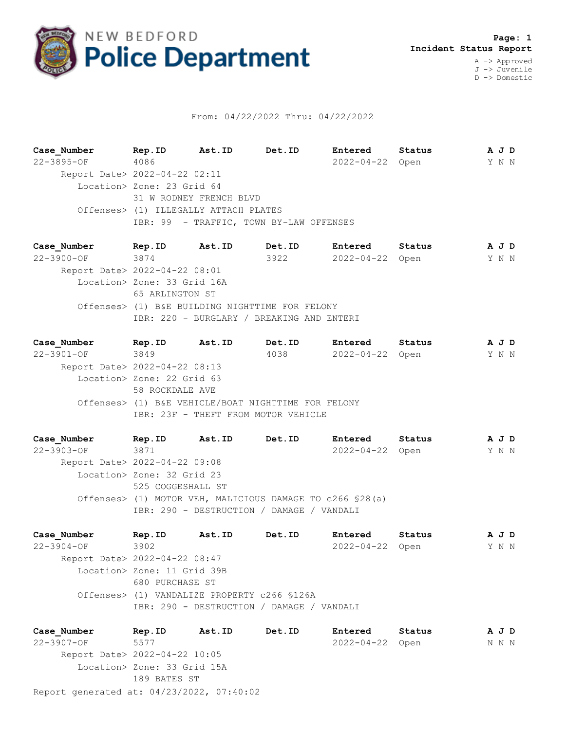

## From: 04/22/2022 Thru: 04/22/2022

**Case\_Number Rep.ID Ast.ID Det.ID Entered Status A J D** 22-3895-OF 4086 2022-04-22 Open Y N N Report Date> 2022-04-22 02:11 Location> Zone: 23 Grid 64 31 W RODNEY FRENCH BLVD Offenses> (1) ILLEGALLY ATTACH PLATES IBR: 99 - TRAFFIC, TOWN BY-LAW OFFENSES

**Case\_Number Rep.ID Ast.ID Det.ID Entered Status A J D** 22-3900-OF 3874 3922 2022-04-22 Open Y N N Report Date> 2022-04-22 08:01 Location> Zone: 33 Grid 16A 65 ARLINGTON ST Offenses> (1) B&E BUILDING NIGHTTIME FOR FELONY IBR: 220 - BURGLARY / BREAKING AND ENTERI

**Case\_Number Rep.ID Ast.ID Det.ID Entered Status A J D** 22-3901-OF 3849 4038 2022-04-22 Open Y N N Report Date> 2022-04-22 08:13 Location> Zone: 22 Grid 63 58 ROCKDALE AVE Offenses> (1) B&E VEHICLE/BOAT NIGHTTIME FOR FELONY IBR: 23F - THEFT FROM MOTOR VEHICLE

**Case\_Number Rep.ID Ast.ID Det.ID Entered Status A J D** 22-3903-OF 3871 2022-04-22 Open Y N N Report Date> 2022-04-22 09:08 Location> Zone: 32 Grid 23 525 COGGESHALL ST Offenses> (1) MOTOR VEH, MALICIOUS DAMAGE TO c266 §28(a) IBR: 290 - DESTRUCTION / DAMAGE / VANDALI

**Case\_Number Rep.ID Ast.ID Det.ID Entered Status A J D** 22-3904-OF 3902 2022-04-22 Open Y N N Report Date> 2022-04-22 08:47 Location> Zone: 11 Grid 39B 680 PURCHASE ST Offenses> (1) VANDALIZE PROPERTY c266 §126A IBR: 290 - DESTRUCTION / DAMAGE / VANDALI

Report generated at: 04/23/2022, 07:40:02 **Case\_Number Rep.ID Ast.ID Det.ID Entered Status A J D** 22-3907-OF 5577 2022-04-22 Open N N N Report Date> 2022-04-22 10:05 Location> Zone: 33 Grid 15A 189 BATES ST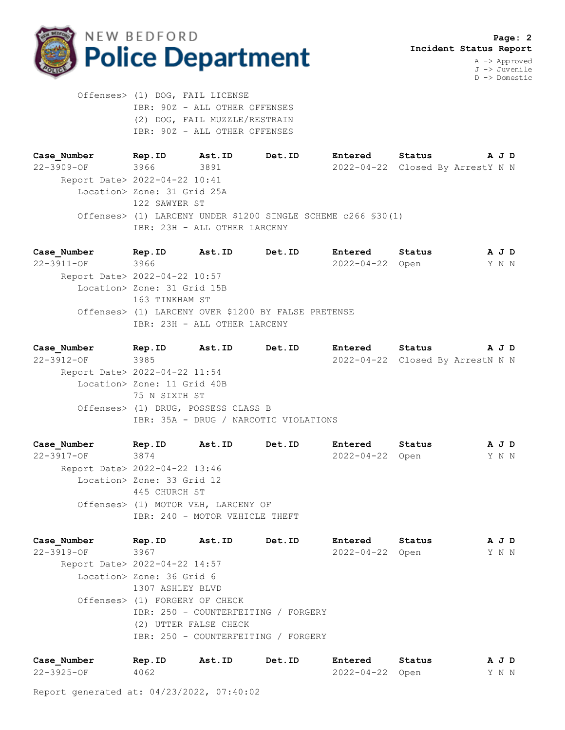

 Offenses> (1) DOG, FAIL LICENSE IBR: 90Z - ALL OTHER OFFENSES (2) DOG, FAIL MUZZLE/RESTRAIN IBR: 90Z - ALL OTHER OFFENSES

**Case\_Number Rep.ID Ast.ID Det.ID Entered Status A J D** 22-3909-OF 3966 3891 2022-04-22 Closed By ArrestY N N Report Date> 2022-04-22 10:41 Location> Zone: 31 Grid 25A 122 SAWYER ST Offenses> (1) LARCENY UNDER \$1200 SINGLE SCHEME c266 §30(1) IBR: 23H - ALL OTHER LARCENY

**Case\_Number Rep.ID Ast.ID Det.ID Entered Status A J D** 22-3911-OF 3966 2022-04-22 Open Y N N Report Date> 2022-04-22 10:57 Location> Zone: 31 Grid 15B 163 TINKHAM ST Offenses> (1) LARCENY OVER \$1200 BY FALSE PRETENSE IBR: 23H - ALL OTHER LARCENY

**Case\_Number Rep.ID Ast.ID Det.ID Entered Status A J D** 22-3912-OF 3985 2022-04-22 Closed By ArrestN N N Report Date> 2022-04-22 11:54 Location> Zone: 11 Grid 40B 75 N SIXTH ST Offenses> (1) DRUG, POSSESS CLASS B IBR: 35A - DRUG / NARCOTIC VIOLATIONS

**Case\_Number Rep.ID Ast.ID Det.ID Entered Status A J D** 22-3917-OF 3874 2022-04-22 Open Y N N Report Date> 2022-04-22 13:46 Location> Zone: 33 Grid 12 445 CHURCH ST Offenses> (1) MOTOR VEH, LARCENY OF IBR: 240 - MOTOR VEHICLE THEFT

**Case\_Number Rep.ID Ast.ID Det.ID Entered Status A J D** 22-3919-OF 3967 2022-04-22 Open Y N N Report Date> 2022-04-22 14:57 Location> Zone: 36 Grid 6 1307 ASHLEY BLVD Offenses> (1) FORGERY OF CHECK IBR: 250 - COUNTERFEITING / FORGERY (2) UTTER FALSE CHECK IBR: 250 - COUNTERFEITING / FORGERY

| Case Number      | Rep.ID | Ast.ID | Det.ID | Entered         | Status | AJD |  |  |
|------------------|--------|--------|--------|-----------------|--------|-----|--|--|
| $22 - 3925 - OF$ | 4062   |        |        | 2022-04-22 Open |        | YNN |  |  |

Report generated at: 04/23/2022, 07:40:02